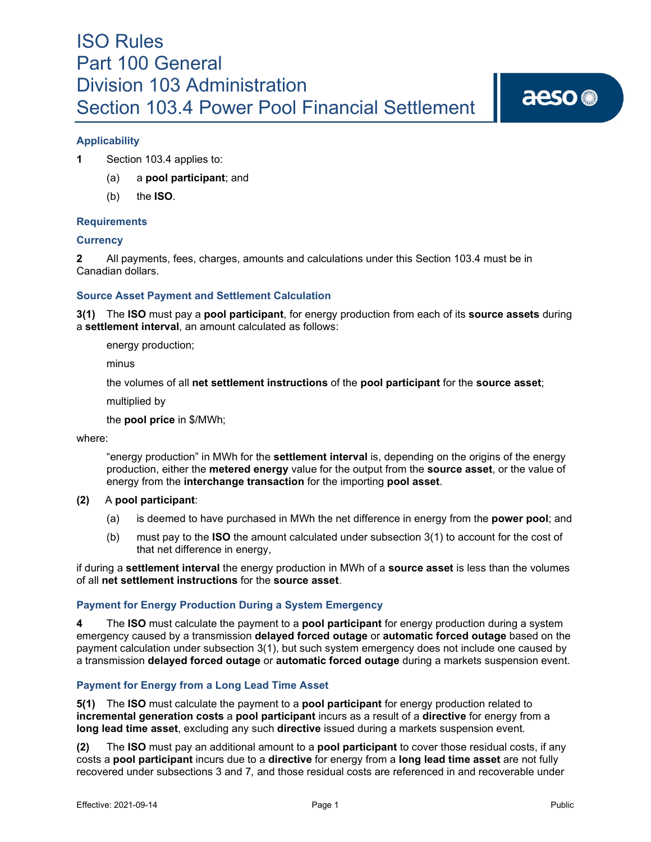# **Applicability**

**1** Section 103.4 applies to:

- (a) a **pool participant**; and
- (b) the **ISO**.

## **Requirements**

## **Currency**

**2** All payments, fees, charges, amounts and calculations under this Section 103.4 must be in Canadian dollars.

## **Source Asset Payment and Settlement Calculation**

**3(1)** The **ISO** must pay a **pool participant**, for energy production from each of its **source assets** during a **settlement interval**, an amount calculated as follows:

energy production;

minus

the volumes of all **net settlement instructions** of the **pool participant** for the **source asset**;

multiplied by

the **pool price** in \$/MWh;

where:

"energy production" in MWh for the **settlement interval** is, depending on the origins of the energy production, either the **metered energy** value for the output from the **source asset**, or the value of energy from the **interchange transaction** for the importing **pool asset**.

### **(2)** A **pool participant**:

- (a) is deemed to have purchased in MWh the net difference in energy from the **power pool**; and
- (b) must pay to the **ISO** the amount calculated under subsection 3(1) to account for the cost of that net difference in energy,

if during a **settlement interval** the energy production in MWh of a **source asset** is less than the volumes of all **net settlement instructions** for the **source asset**.

### **Payment for Energy Production During a System Emergency**

**4** The **ISO** must calculate the payment to a **pool participant** for energy production during a system emergency caused by a transmission **delayed forced outage** or **automatic forced outage** based on the payment calculation under subsection 3(1), but such system emergency does not include one caused by a transmission **delayed forced outage** or **automatic forced outage** during a markets suspension event.

### **Payment for Energy from a Long Lead Time Asset**

**5(1)** The **ISO** must calculate the payment to a **pool participant** for energy production related to **incremental generation costs** a **pool participant** incurs as a result of a **directive** for energy from a **long lead time asset**, excluding any such **directive** issued during a markets suspension event*.*

**(2)** The **ISO** must pay an additional amount to a **pool participant** to cover those residual costs, if any costs a **pool participant** incurs due to a **directive** for energy from a **long lead time asset** are not fully recovered under subsections 3 and 7*,* and those residual costs are referenced in and recoverable under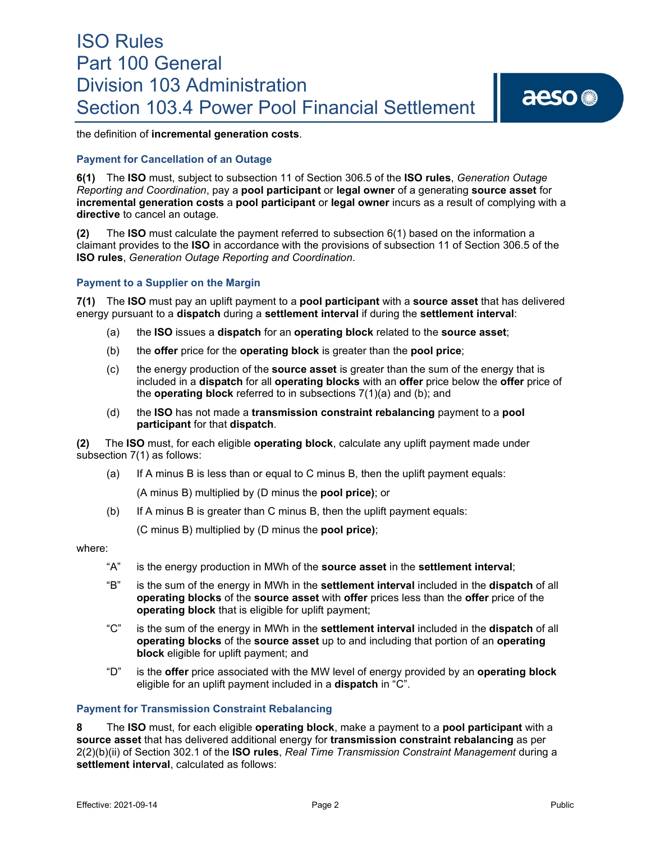the definition of **incremental generation costs**.

### **Payment for Cancellation of an Outage**

**6(1)** The **ISO** must, subject to subsection 11 of Section 306.5 of the **ISO rules**, *Generation Outage Reporting and Coordination*, pay a **pool participant** or **legal owner** of a generating **source asset** for **incremental generation costs** a **pool participant** or **legal owner** incurs as a result of complying with a **directive** to cancel an outage.

**(2)** The **ISO** must calculate the payment referred to subsection 6(1) based on the information a claimant provides to the **ISO** in accordance with the provisions of subsection 11 of Section 306.5 of the **ISO rules**, *Generation Outage Reporting and Coordination*.

### **Payment to a Supplier on the Margin**

**7(1)** The **ISO** must pay an uplift payment to a **pool participant** with a **source asset** that has delivered energy pursuant to a **dispatch** during a **settlement interval** if during the **settlement interval**:

- (a) the **ISO** issues a **dispatch** for an **operating block** related to the **source asset**;
- (b) the **offer** price for the **operating block** is greater than the **pool price**;
- (c) the energy production of the **source asset** is greater than the sum of the energy that is included in a **dispatch** for all **operating blocks** with an **offer** price below the **offer** price of the **operating block** referred to in subsections 7(1)(a) and (b); and
- (d) the **ISO** has not made a **transmission constraint rebalancing** payment to a **pool participant** for that **dispatch**.

**(2)** The **ISO** must, for each eligible **operating block**, calculate any uplift payment made under subsection 7(1) as follows:

(a) If A minus B is less than or equal to C minus B, then the uplift payment equals:

(A minus B) multiplied by (D minus the **pool price)**; or

(b) If A minus B is greater than C minus B, then the uplift payment equals:

(C minus B) multiplied by (D minus the **pool price)**;

where:

- "A" is the energy production in MWh of the **source asset** in the **settlement interval**;
- "B" is the sum of the energy in MWh in the **settlement interval** included in the **dispatch** of all **operating blocks** of the **source asset** with **offer** prices less than the **offer** price of the **operating block** that is eligible for uplift payment;
- "C" is the sum of the energy in MWh in the **settlement interval** included in the **dispatch** of all **operating blocks** of the **source asset** up to and including that portion of an **operating block** eligible for uplift payment; and
- "D" is the **offer** price associated with the MW level of energy provided by an **operating block** eligible for an uplift payment included in a **dispatch** in "C".

#### **Payment for Transmission Constraint Rebalancing**

**8** The **ISO** must, for each eligible **operating block**, make a payment to a **pool participant** with a **source asset** that has delivered additional energy for **transmission constraint rebalancing** as per 2(2)(b)(ii) of Section 302.1 of the **ISO rules**, *Real Time Transmission Constraint Management* during a **settlement interval**, calculated as follows: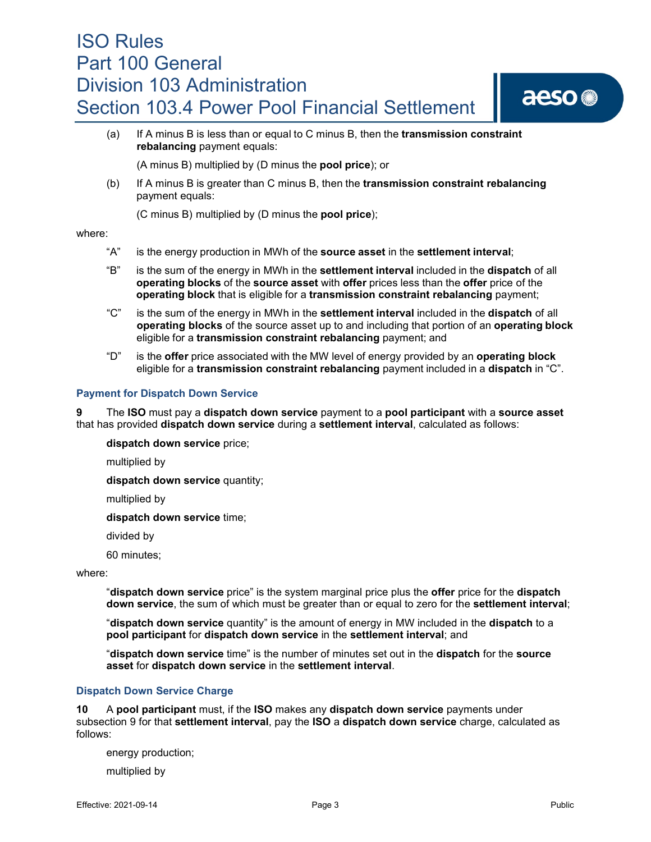

(a) If A minus B is less than or equal to C minus B, then the **transmission constraint rebalancing** payment equals:

(A minus B) multiplied by (D minus the **pool price**); or

(b) If A minus B is greater than C minus B, then the **transmission constraint rebalancing** payment equals:

(C minus B) multiplied by (D minus the **pool price**);

### where:

- "A" is the energy production in MWh of the **source asset** in the **settlement interval**;
- "B" is the sum of the energy in MWh in the **settlement interval** included in the **dispatch** of all **operating blocks** of the **source asset** with **offer** prices less than the **offer** price of the **operating block** that is eligible for a **transmission constraint rebalancing** payment;
- "C" is the sum of the energy in MWh in the **settlement interval** included in the **dispatch** of all **operating blocks** of the source asset up to and including that portion of an **operating block** eligible for a **transmission constraint rebalancing** payment; and
- "D" is the **offer** price associated with the MW level of energy provided by an **operating block**  eligible for a **transmission constraint rebalancing** payment included in a **dispatch** in "C".

## **Payment for Dispatch Down Service**

**9** The **ISO** must pay a **dispatch down service** payment to a **pool participant** with a **source asset** that has provided **dispatch down service** during a **settlement interval**, calculated as follows:

**dispatch down service** price;

multiplied by

**dispatch down service** quantity;

multiplied by

**dispatch down service** time;

divided by

60 minutes;

where:

"**dispatch down service** price" is the system marginal price plus the **offer** price for the **dispatch down service**, the sum of which must be greater than or equal to zero for the **settlement interval**;

"**dispatch down service** quantity" is the amount of energy in MW included in the **dispatch** to a **pool participant** for **dispatch down service** in the **settlement interval**; and

"**dispatch down service** time" is the number of minutes set out in the **dispatch** for the **source asset** for **dispatch down service** in the **settlement interval**.

# **Dispatch Down Service Charge**

**10** A **pool participant** must, if the **ISO** makes any **dispatch down service** payments under subsection 9 for that **settlement interval**, pay the **ISO** a **dispatch down service** charge, calculated as follows:

energy production;

multiplied by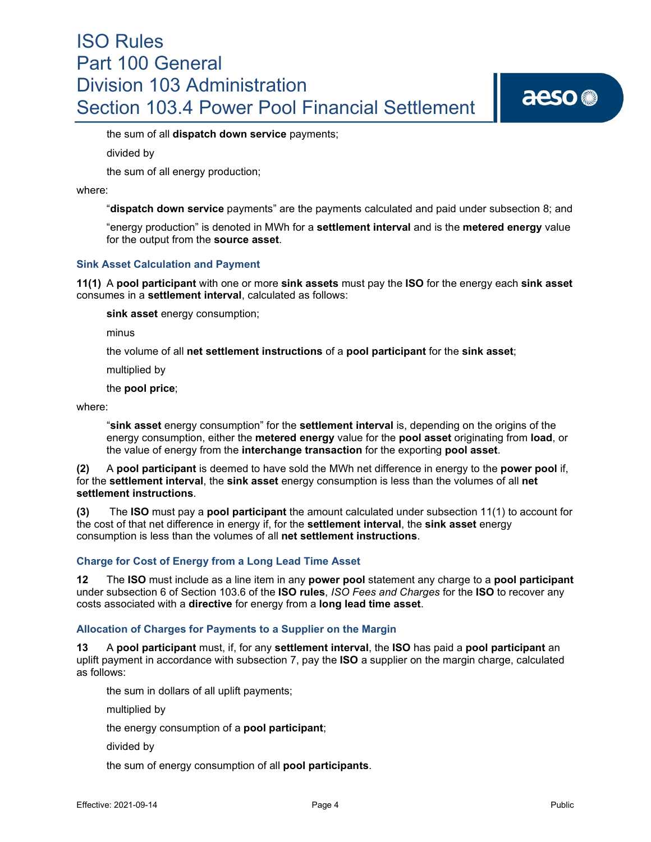the sum of all **dispatch down service** payments;

divided by

the sum of all energy production;

where:

"**dispatch down service** payments" are the payments calculated and paid under subsection 8; and

"energy production" is denoted in MWh for a **settlement interval** and is the **metered energy** value for the output from the **source asset**.

### **Sink Asset Calculation and Payment**

**11(1)** A **pool participant** with one or more **sink assets** must pay the **ISO** for the energy each **sink asset** consumes in a **settlement interval**, calculated as follows:

**sink asset** energy consumption;

minus

the volume of all **net settlement instructions** of a **pool participant** for the **sink asset**;

multiplied by

the **pool price**;

where:

"**sink asset** energy consumption" for the **settlement interval** is, depending on the origins of the energy consumption, either the **metered energy** value for the **pool asset** originating from **load**, or the value of energy from the **interchange transaction** for the exporting **pool asset**.

**(2)** A **pool participant** is deemed to have sold the MWh net difference in energy to the **power pool** if, for the **settlement interval**, the **sink asset** energy consumption is less than the volumes of all **net settlement instructions**.

**(3)** The **ISO** must pay a **pool participant** the amount calculated under subsection 11(1) to account for the cost of that net difference in energy if, for the **settlement interval**, the **sink asset** energy consumption is less than the volumes of all **net settlement instructions**.

### **Charge for Cost of Energy from a Long Lead Time Asset**

**12** The **ISO** must include as a line item in any **power pool** statement any charge to a **pool participant**  under subsection 6 of Section 103.6 of the **ISO rules**, *ISO Fees and Charges* for the **ISO** to recover any costs associated with a **directive** for energy from a **long lead time asset**.

#### **Allocation of Charges for Payments to a Supplier on the Margin**

**13** A **pool participant** must, if, for any **settlement interval**, the **ISO** has paid a **pool participant** an uplift payment in accordance with subsection 7, pay the **ISO** a supplier on the margin charge, calculated as follows:

the sum in dollars of all uplift payments;

multiplied by

the energy consumption of a **pool participant**;

divided by

the sum of energy consumption of all **pool participants**.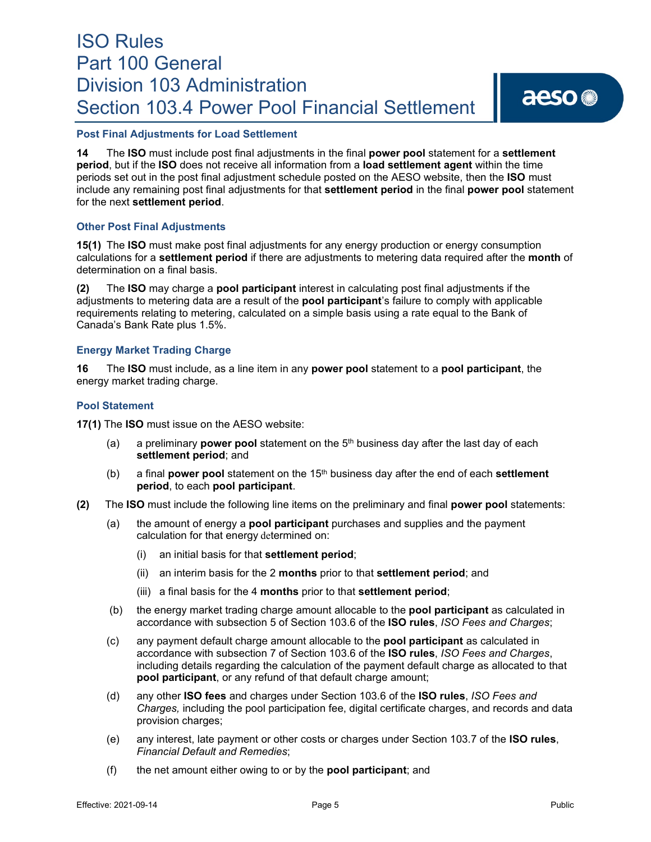## **Post Final Adjustments for Load Settlement**

**14** The **ISO** must include post final adjustments in the final **power pool** statement for a **settlement period**, but if the **ISO** does not receive all information from a **load settlement agent** within the time periods set out in the post final adjustment schedule posted on the AESO website, then the **ISO** must include any remaining post final adjustments for that **settlement period** in the final **power pool** statement for the next **settlement period**.

### **Other Post Final Adjustments**

**15(1)** The **ISO** must make post final adjustments for any energy production or energy consumption calculations for a **settlement period** if there are adjustments to metering data required after the **month** of determination on a final basis.

**(2)** The **ISO** may charge a **pool participant** interest in calculating post final adjustments if the adjustments to metering data are a result of the **pool participant**'s failure to comply with applicable requirements relating to metering, calculated on a simple basis using a rate equal to the Bank of Canada's Bank Rate plus 1.5%.

### **Energy Market Trading Charge**

**16** The **ISO** must include, as a line item in any **power pool** statement to a **pool participant**, the energy market trading charge.

### **Pool Statement**

**17(1)** The **ISO** must issue on the AESO website:

- (a) a preliminary **power pool** statement on the 5th business day after the last day of each **settlement period**; and
- (b) a final **power pool** statement on the 15th business day after the end of each **settlement period**, to each **pool participant**.
- **(2)** The **ISO** must include the following line items on the preliminary and final **power pool** statements:
	- (a) the amount of energy a **pool participant** purchases and supplies and the payment calculation for that energy determined on:
		- (i) an initial basis for that **settlement period**;
		- (ii) an interim basis for the 2 **months** prior to that **settlement period**; and
		- (iii) a final basis for the 4 **months** prior to that **settlement period**;
	- (b) the energy market trading charge amount allocable to the **pool participant** as calculated in accordance with subsection 5 of Section 103.6 of the **ISO rules**, *ISO Fees and Charges*;
	- (c) any payment default charge amount allocable to the **pool participant** as calculated in accordance with subsection 7 of Section 103.6 of the **ISO rules**, *ISO Fees and Charges*, including details regarding the calculation of the payment default charge as allocated to that **pool participant**, or any refund of that default charge amount;
	- (d) any other **ISO fees** and charges under Section 103.6 of the **ISO rules**, *ISO Fees and Charges,* including the pool participation fee, digital certificate charges, and records and data provision charges;
	- (e) any interest, late payment or other costs or charges under Section 103.7 of the **ISO rules**, *Financial Default and Remedies*;
	- (f) the net amount either owing to or by the **pool participant**; and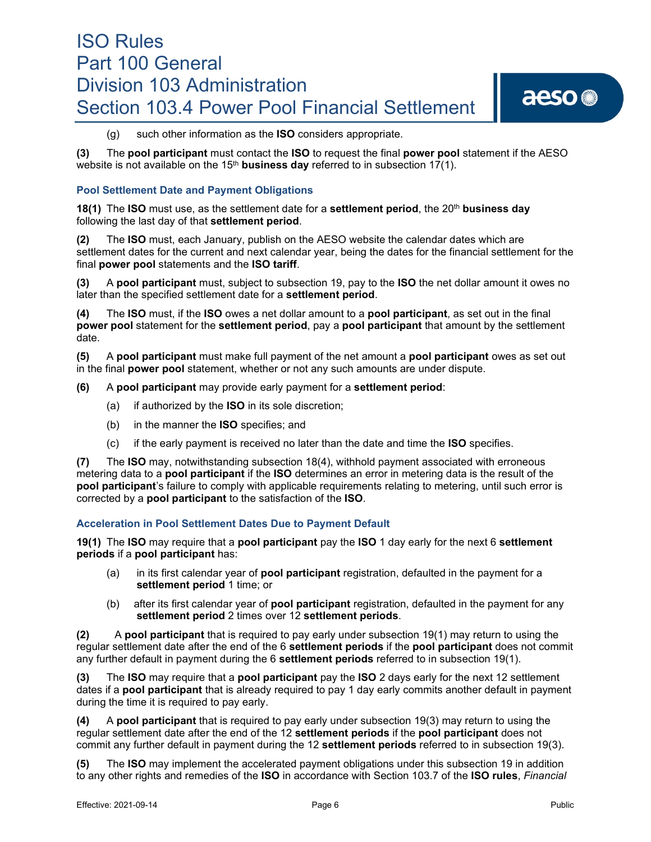(g) such other information as the **ISO** considers appropriate.

**(3)** The **pool participant** must contact the **ISO** to request the final **power pool** statement if the AESO website is not available on the 15<sup>th</sup> **business day** referred to in subsection 17(1).

## **Pool Settlement Date and Payment Obligations**

**18(1)** The **ISO** must use, as the settlement date for a **settlement period**, the 20th **business day** following the last day of that **settlement period**.

**(2)** The **ISO** must, each January, publish on the AESO website the calendar dates which are settlement dates for the current and next calendar year, being the dates for the financial settlement for the final **power pool** statements and the **ISO tariff**.

**(3)** A **pool participant** must, subject to subsection 19, pay to the **ISO** the net dollar amount it owes no later than the specified settlement date for a **settlement period**.

**(4)** The **ISO** must, if the **ISO** owes a net dollar amount to a **pool participant**, as set out in the final **power pool** statement for the **settlement period**, pay a **pool participant** that amount by the settlement date.

**(5)** A **pool participant** must make full payment of the net amount a **pool participant** owes as set out in the final **power pool** statement, whether or not any such amounts are under dispute.

- **(6)** A **pool participant** may provide early payment for a **settlement period**:
	- (a) if authorized by the **ISO** in its sole discretion;
	- (b) in the manner the **ISO** specifies; and
	- (c) if the early payment is received no later than the date and time the **ISO** specifies.

**(7)** The **ISO** may, notwithstanding subsection 18(4), withhold payment associated with erroneous metering data to a **pool participant** if the **ISO** determines an error in metering data is the result of the **pool participant**'s failure to comply with applicable requirements relating to metering, until such error is corrected by a **pool participant** to the satisfaction of the **ISO**.

### **Acceleration in Pool Settlement Dates Due to Payment Default**

**19(1)** The **ISO** may require that a **pool participant** pay the **ISO** 1 day early for the next 6 **settlement periods** if a **pool participant** has:

- (a) in its first calendar year of **pool participant** registration, defaulted in the payment for a **settlement period** 1 time; or
- (b) after its first calendar year of **pool participant** registration, defaulted in the payment for any **settlement period** 2 times over 12 **settlement periods**.

**(2)** A **pool participant** that is required to pay early under subsection 19(1) may return to using the regular settlement date after the end of the 6 **settlement periods** if the **pool participant** does not commit any further default in payment during the 6 **settlement periods** referred to in subsection 19(1).

**(3)** The **ISO** may require that a **pool participant** pay the **ISO** 2 days early for the next 12 settlement dates if a **pool participant** that is already required to pay 1 day early commits another default in payment during the time it is required to pay early.

**(4)** A **pool participant** that is required to pay early under subsection 19(3) may return to using the regular settlement date after the end of the 12 **settlement periods** if the **pool participant** does not commit any further default in payment during the 12 **settlement periods** referred to in subsection 19(3).

**(5)** The **ISO** may implement the accelerated payment obligations under this subsection 19 in addition to any other rights and remedies of the **ISO** in accordance with Section 103.7 of the **ISO rules**, *Financial*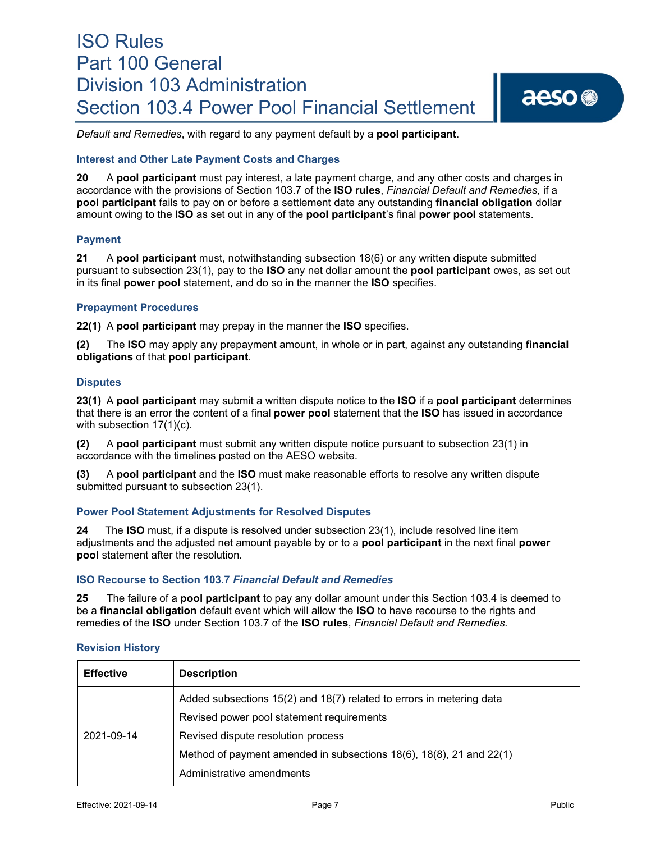

*Default and Remedies*, with regard to any payment default by a **pool participant**.

### **Interest and Other Late Payment Costs and Charges**

**20** A **pool participant** must pay interest, a late payment charge, and any other costs and charges in accordance with the provisions of Section 103.7 of the **ISO rules**, *Financial Default and Remedies*, if a **pool participant** fails to pay on or before a settlement date any outstanding **financial obligation** dollar amount owing to the **ISO** as set out in any of the **pool participant**'s final **power pool** statements.

### **Payment**

**21** A **pool participant** must, notwithstanding subsection 18(6) or any written dispute submitted pursuant to subsection 23(1), pay to the **ISO** any net dollar amount the **pool participant** owes, as set out in its final **power pool** statement, and do so in the manner the **ISO** specifies.

### **Prepayment Procedures**

**22(1)** A **pool participant** may prepay in the manner the **ISO** specifies.

**(2)** The **ISO** may apply any prepayment amount, in whole or in part, against any outstanding **financial obligations** of that **pool participant**.

### **Disputes**

**23(1)** A **pool participant** may submit a written dispute notice to the **ISO** if a **pool participant** determines that there is an error the content of a final **power pool** statement that the **ISO** has issued in accordance with subsection 17(1)(c).

**(2)** A **pool participant** must submit any written dispute notice pursuant to subsection 23(1) in accordance with the timelines posted on the AESO website.

**(3)** A **pool participant** and the **ISO** must make reasonable efforts to resolve any written dispute submitted pursuant to subsection 23(1).

### **Power Pool Statement Adjustments for Resolved Disputes**

**24** The **ISO** must, if a dispute is resolved under subsection 23(1), include resolved line item adjustments and the adjusted net amount payable by or to a **pool participant** in the next final **power pool** statement after the resolution.

## **ISO Recourse to Section 103.7** *Financial Default and Remedies*

**25** The failure of a **pool participant** to pay any dollar amount under this Section 103.4 is deemed to be a **financial obligation** default event which will allow the **ISO** to have recourse to the rights and remedies of the **ISO** under Section 103.7 of the **ISO rules**, *Financial Default and Remedies.*

### **Revision History**

| <b>Effective</b> | <b>Description</b>                                                   |
|------------------|----------------------------------------------------------------------|
| 2021-09-14       | Added subsections 15(2) and 18(7) related to errors in metering data |
|                  | Revised power pool statement requirements                            |
|                  | Revised dispute resolution process                                   |
|                  | Method of payment amended in subsections 18(6), 18(8), 21 and 22(1)  |
|                  | Administrative amendments                                            |